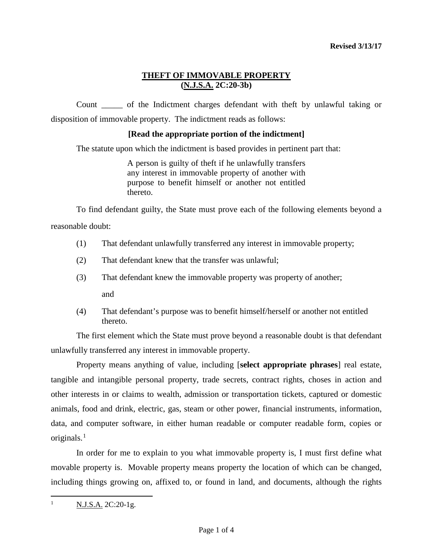# **THEFT OF IMMOVABLE PROPERTY (N.J.S.A. 2C:20-3b)**

Count \_\_\_\_\_ of the Indictment charges defendant with theft by unlawful taking or disposition of immovable property. The indictment reads as follows:

## **[Read the appropriate portion of the indictment]**

The statute upon which the indictment is based provides in pertinent part that:

A person is guilty of theft if he unlawfully transfers any interest in immovable property of another with purpose to benefit himself or another not entitled thereto.

To find defendant guilty, the State must prove each of the following elements beyond a reasonable doubt:

- (1) That defendant unlawfully transferred any interest in immovable property;
- (2) That defendant knew that the transfer was unlawful;
- (3) That defendant knew the immovable property was property of another;

and

(4) That defendant's purpose was to benefit himself/herself or another not entitled thereto.

The first element which the State must prove beyond a reasonable doubt is that defendant unlawfully transferred any interest in immovable property.

Property means anything of value, including [**select appropriate phrases**] real estate, tangible and intangible personal property, trade secrets, contract rights, choses in action and other interests in or claims to wealth, admission or transportation tickets, captured or domestic animals, food and drink, electric, gas, steam or other power, financial instruments, information, data, and computer software, in either human readable or computer readable form, copies or originals.[1](#page-0-0)

In order for me to explain to you what immovable property is, I must first define what movable property is. Movable property means property the location of which can be changed, including things growing on, affixed to, or found in land, and documents, although the rights

<span id="page-0-0"></span><sup>|&</sup>lt;br>|<br>|  $N.J.S.A. 2C:20-1g.$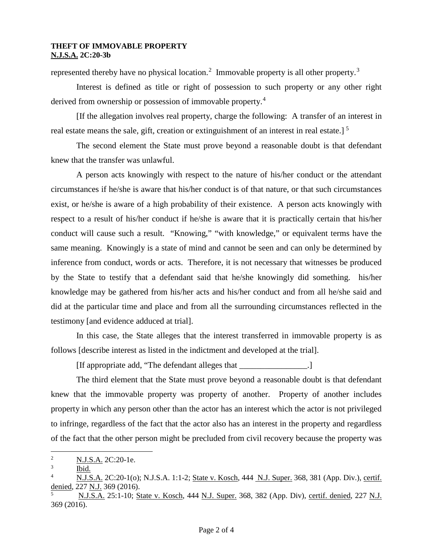#### **THEFT OF IMMOVABLE PROPERTY N.J.S.A. 2C:20-3b**

represented thereby have no physical location.<sup>[2](#page-1-0)</sup> Immovable property is all other property.<sup>[3](#page-1-1)</sup>

Interest is defined as title or right of possession to such property or any other right derived from ownership or possession of immovable property.<sup>[4](#page-1-2)</sup>

[If the allegation involves real property, charge the following: A transfer of an interest in real estate means the sale, gift, creation or extinguishment of an interest in real estate.]<sup>[5](#page-1-3)</sup>

The second element the State must prove beyond a reasonable doubt is that defendant knew that the transfer was unlawful.

A person acts knowingly with respect to the nature of his/her conduct or the attendant circumstances if he/she is aware that his/her conduct is of that nature, or that such circumstances exist, or he/she is aware of a high probability of their existence. A person acts knowingly with respect to a result of his/her conduct if he/she is aware that it is practically certain that his/her conduct will cause such a result. "Knowing," "with knowledge," or equivalent terms have the same meaning. Knowingly is a state of mind and cannot be seen and can only be determined by inference from conduct, words or acts. Therefore, it is not necessary that witnesses be produced by the State to testify that a defendant said that he/she knowingly did something. his/her knowledge may be gathered from his/her acts and his/her conduct and from all he/she said and did at the particular time and place and from all the surrounding circumstances reflected in the testimony [and evidence adduced at trial].

In this case, the State alleges that the interest transferred in immovable property is as follows [describe interest as listed in the indictment and developed at the trial].

[If appropriate add, "The defendant alleges that \_\_\_\_\_\_\_\_\_\_\_\_\_\_\_\_.]

The third element that the State must prove beyond a reasonable doubt is that defendant knew that the immovable property was property of another. Property of another includes property in which any person other than the actor has an interest which the actor is not privileged to infringe, regardless of the fact that the actor also has an interest in the property and regardless of the fact that the other person might be precluded from civil recovery because the property was

<span id="page-1-0"></span> $\frac{1}{2}$ <sup>2</sup> N.J.S.A. 2C:20-1e.

<span id="page-1-1"></span><sup>3</sup> Ibid.

<span id="page-1-2"></span>N.J.S.A. 2C:20-1(o); N.J.S.A. 1:1-2; State v. Kosch, 444 N.J. Super. 368, 381 (App. Div.), certif. denied, 227 N.J. 369 (2016).

<span id="page-1-3"></span><sup>5</sup> N.J.S.A. 25:1-10; State v. Kosch, 444 N.J. Super. 368, 382 (App. Div), certif. denied, 227 N.J. 369 (2016).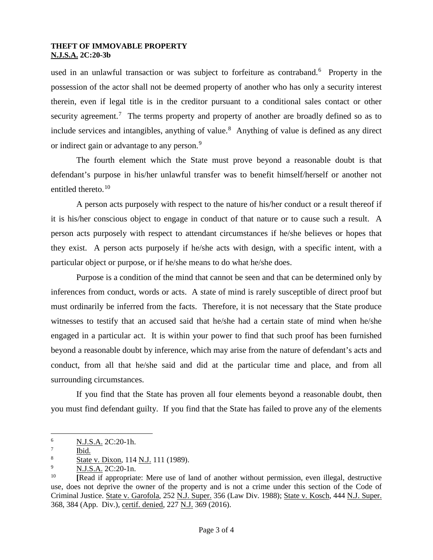#### **THEFT OF IMMOVABLE PROPERTY N.J.S.A. 2C:20-3b**

used in an unlawful transaction or was subject to forfeiture as contraband.<sup>[6](#page-2-0)</sup> Property in the possession of the actor shall not be deemed property of another who has only a security interest therein, even if legal title is in the creditor pursuant to a conditional sales contact or other security agreement.<sup>[7](#page-2-1)</sup> The terms property and property of another are broadly defined so as to include services and intangibles, anything of value.<sup>[8](#page-2-2)</sup> Anything of value is defined as any direct or indirect gain or advantage to any person.<sup>[9](#page-2-3)</sup>

The fourth element which the State must prove beyond a reasonable doubt is that defendant's purpose in his/her unlawful transfer was to benefit himself/herself or another not entitled thereto.<sup>[10](#page-2-4)</sup>

A person acts purposely with respect to the nature of his/her conduct or a result thereof if it is his/her conscious object to engage in conduct of that nature or to cause such a result. A person acts purposely with respect to attendant circumstances if he/she believes or hopes that they exist. A person acts purposely if he/she acts with design, with a specific intent, with a particular object or purpose, or if he/she means to do what he/she does.

Purpose is a condition of the mind that cannot be seen and that can be determined only by inferences from conduct, words or acts. A state of mind is rarely susceptible of direct proof but must ordinarily be inferred from the facts. Therefore, it is not necessary that the State produce witnesses to testify that an accused said that he/she had a certain state of mind when he/she engaged in a particular act. It is within your power to find that such proof has been furnished beyond a reasonable doubt by inference, which may arise from the nature of defendant's acts and conduct, from all that he/she said and did at the particular time and place, and from all surrounding circumstances.

If you find that the State has proven all four elements beyond a reasonable doubt, then you must find defendant guilty. If you find that the State has failed to prove any of the elements

<span id="page-2-0"></span> $\frac{1}{6}$ <sup>6</sup> N.J.S.A. 2C:20-1h.

<span id="page-2-1"></span><sup>7</sup> Ibid.

<span id="page-2-2"></span><sup>8</sup> State v. Dixon, 114 N.J. 111 (1989).

<span id="page-2-3"></span><sup>9</sup>  $\frac{N.J.S.A.}{N}$  2C:20-1n.

<span id="page-2-4"></span><sup>10</sup> **[**Read if appropriate: Mere use of land of another without permission, even illegal, destructive use, does not deprive the owner of the property and is not a crime under this section of the Code of Criminal Justice. State v. Garofola, 252 N.J. Super. 356 (Law Div. 1988); State v. Kosch, 444 N.J. Super. 368, 384 (App. Div.), certif. denied, 227 N.J. 369 (2016).